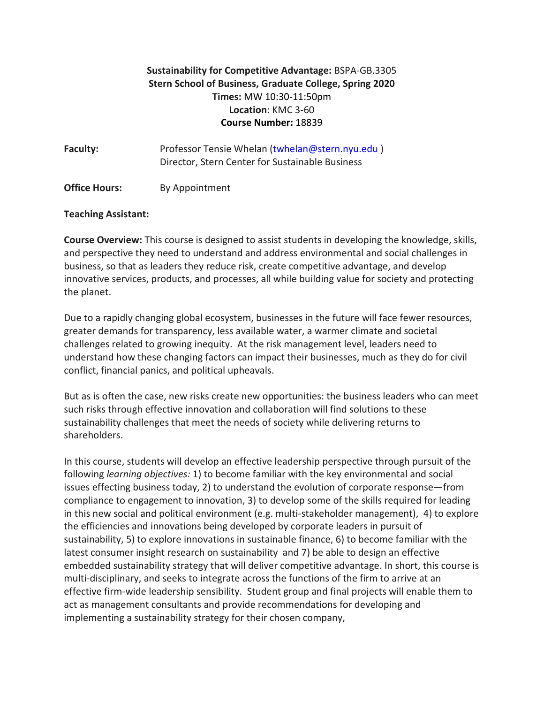# **Sustainability for Competitive Advantage:** BSPA-GB.3305 **Stern School of Business, Graduate College, Spring 2020 Times:** MW 10:30-11:50pm **Location**: KMC 3-60 **Course Number:** 18839

| <b>Faculty:</b>      | Professor Tensie Whelan (twhelan@stern.nyu.edu)<br>Director, Stern Center for Sustainable Business |
|----------------------|----------------------------------------------------------------------------------------------------|
| <b>Office Hours:</b> | By Appointment                                                                                     |

#### **Teaching Assistant:**

**Course Overview:** This course is designed to assist students in developing the knowledge, skills, and perspective they need to understand and address environmental and social challenges in business, so that as leaders they reduce risk, create competitive advantage, and develop innovative services, products, and processes, all while building value for society and protecting the planet.

Due to a rapidly changing global ecosystem, businesses in the future will face fewer resources, greater demands for transparency, less available water, a warmer climate and societal challenges related to growing inequity. At the risk management level, leaders need to understand how these changing factors can impact their businesses, much as they do for civil conflict, financial panics, and political upheavals.

But as is often the case, new risks create new opportunities: the business leaders who can meet such risks through effective innovation and collaboration will find solutions to these sustainability challenges that meet the needs of society while delivering returns to shareholders.

In this course, students will develop an effective leadership perspective through pursuit of the following *learning objectives:* 1) to become familiar with the key environmental and social issues effecting business today, 2) to understand the evolution of corporate response—from compliance to engagement to innovation, 3) to develop some of the skills required for leading in this new social and political environment (e.g. multi-stakeholder management), 4) to explore the efficiencies and innovations being developed by corporate leaders in pursuit of sustainability, 5) to explore innovations in sustainable finance, 6) to become familiar with the latest consumer insight research on sustainability and 7) be able to design an effective embedded sustainability strategy that will deliver competitive advantage. In short, this course is multi-disciplinary, and seeks to integrate across the functions of the firm to arrive at an effective firm-wide leadership sensibility. Student group and final projects will enable them to act as management consultants and provide recommendations for developing and implementing a sustainability strategy for their chosen company,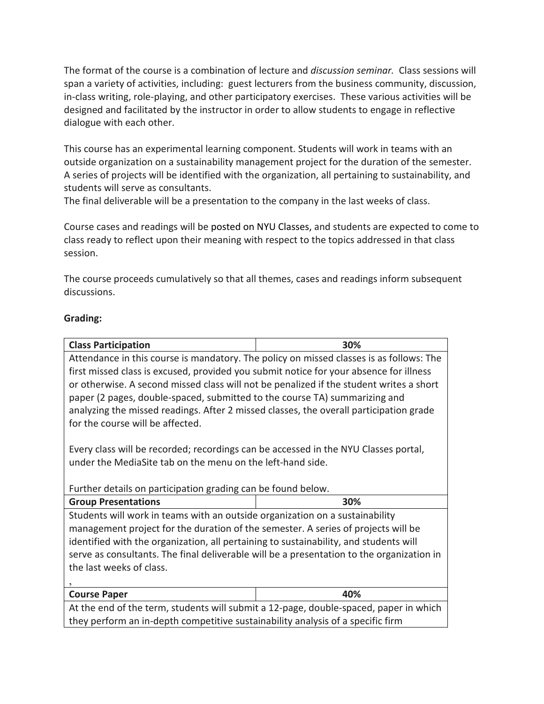The format of the course is a combination of lecture and *discussion seminar.* Class sessions will span a variety of activities, including: guest lecturers from the business community, discussion, in-class writing, role-playing, and other participatory exercises. These various activities will be designed and facilitated by the instructor in order to allow students to engage in reflective dialogue with each other.

This course has an experimental learning component. Students will work in teams with an outside organization on a sustainability management project for the duration of the semester. A series of projects will be identified with the organization, all pertaining to sustainability, and students will serve as consultants.

The final deliverable will be a presentation to the company in the last weeks of class.

Course cases and readings will be posted on NYU Classes, and students are expected to come to class ready to reflect upon their meaning with respect to the topics addressed in that class session.

The course proceeds cumulatively so that all themes, cases and readings inform subsequent discussions.

### **Grading:**

| <b>Class Participation</b>                                                                | 30% |  |
|-------------------------------------------------------------------------------------------|-----|--|
| Attendance in this course is mandatory. The policy on missed classes is as follows: The   |     |  |
| first missed class is excused, provided you submit notice for your absence for illness    |     |  |
| or otherwise. A second missed class will not be penalized if the student writes a short   |     |  |
| paper (2 pages, double-spaced, submitted to the course TA) summarizing and                |     |  |
| analyzing the missed readings. After 2 missed classes, the overall participation grade    |     |  |
| for the course will be affected.                                                          |     |  |
|                                                                                           |     |  |
| Every class will be recorded; recordings can be accessed in the NYU Classes portal,       |     |  |
| under the MediaSite tab on the menu on the left-hand side.                                |     |  |
|                                                                                           |     |  |
|                                                                                           |     |  |
| Further details on participation grading can be found below.                              |     |  |
| <b>Group Presentations</b>                                                                | 30% |  |
| Students will work in teams with an outside organization on a sustainability              |     |  |
| management project for the duration of the semester. A series of projects will be         |     |  |
| identified with the organization, all pertaining to sustainability, and students will     |     |  |
| serve as consultants. The final deliverable will be a presentation to the organization in |     |  |
| the last weeks of class.                                                                  |     |  |
|                                                                                           |     |  |
|                                                                                           |     |  |
| <b>Course Paper</b>                                                                       | 40% |  |
| At the end of the term, students will submit a 12-page, double-spaced, paper in which     |     |  |
| they perform an in-depth competitive sustainability analysis of a specific firm           |     |  |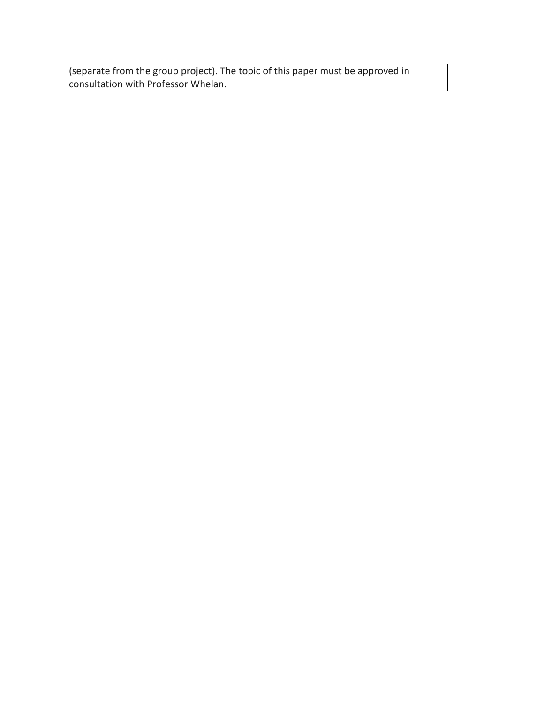(separate from the group project). The topic of this paper must be approved in consultation with Professor Whelan.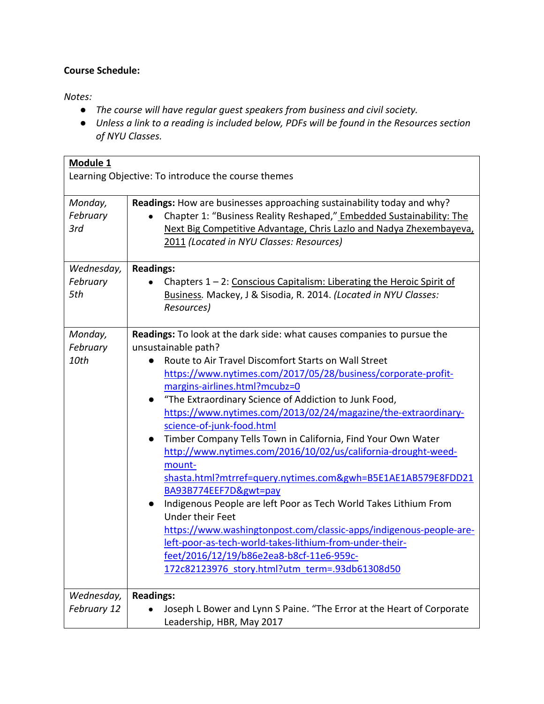## **Course Schedule:**

*Notes:*

- *The course will have regular guest speakers from business and civil society.*
- *Unless a link to a reading is included below, PDFs will be found in the Resources section of NYU Classes.*

| Module 1<br>Learning Objective: To introduce the course themes |                                                                                                                                                                                                                                                                                                                                                                                                                                                                                                                                                                                                                                                                                                                                                                                                                                                                                                                                                                                                 |
|----------------------------------------------------------------|-------------------------------------------------------------------------------------------------------------------------------------------------------------------------------------------------------------------------------------------------------------------------------------------------------------------------------------------------------------------------------------------------------------------------------------------------------------------------------------------------------------------------------------------------------------------------------------------------------------------------------------------------------------------------------------------------------------------------------------------------------------------------------------------------------------------------------------------------------------------------------------------------------------------------------------------------------------------------------------------------|
| Monday,<br>February<br>3rd                                     | Readings: How are businesses approaching sustainability today and why?<br>Chapter 1: "Business Reality Reshaped," Embedded Sustainability: The<br>Next Big Competitive Advantage, Chris Lazlo and Nadya Zhexembayeva,<br>2011 (Located in NYU Classes: Resources)                                                                                                                                                                                                                                                                                                                                                                                                                                                                                                                                                                                                                                                                                                                               |
| Wednesday,<br>February<br>5th                                  | <b>Readings:</b><br>Chapters $1 - 2$ : Conscious Capitalism: Liberating the Heroic Spirit of<br>Business. Mackey, J & Sisodia, R. 2014. (Located in NYU Classes:<br>Resources)                                                                                                                                                                                                                                                                                                                                                                                                                                                                                                                                                                                                                                                                                                                                                                                                                  |
| Monday,<br>February<br>10th                                    | Readings: To look at the dark side: what causes companies to pursue the<br>unsustainable path?<br>Route to Air Travel Discomfort Starts on Wall Street<br>https://www.nytimes.com/2017/05/28/business/corporate-profit-<br>margins-airlines.html?mcubz=0<br>"The Extraordinary Science of Addiction to Junk Food,<br>https://www.nytimes.com/2013/02/24/magazine/the-extraordinary-<br>science-of-junk-food.html<br>Timber Company Tells Town in California, Find Your Own Water<br>$\bullet$<br>http://www.nytimes.com/2016/10/02/us/california-drought-weed-<br>mount-<br>shasta.html?mtrref=query.nytimes.com&gwh=B5E1AE1AB579E8FDD21<br>BA93B774EEF7D&gwt=pay<br>Indigenous People are left Poor as Tech World Takes Lithium From<br><b>Under their Feet</b><br>https://www.washingtonpost.com/classic-apps/indigenous-people-are-<br>left-poor-as-tech-world-takes-lithium-from-under-their-<br>feet/2016/12/19/b86e2ea8-b8cf-11e6-959c-<br>172c82123976 story.html?utm_term=.93db61308d50 |
| Wednesday,                                                     | <b>Readings:</b>                                                                                                                                                                                                                                                                                                                                                                                                                                                                                                                                                                                                                                                                                                                                                                                                                                                                                                                                                                                |
| February 12                                                    | Joseph L Bower and Lynn S Paine. "The Error at the Heart of Corporate<br>Leadership, HBR, May 2017                                                                                                                                                                                                                                                                                                                                                                                                                                                                                                                                                                                                                                                                                                                                                                                                                                                                                              |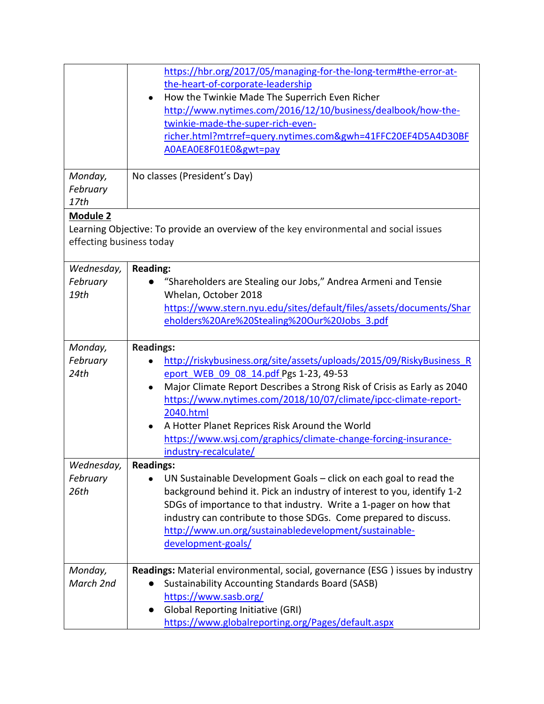|                          | https://hbr.org/2017/05/managing-for-the-long-term#the-error-at-                      |
|--------------------------|---------------------------------------------------------------------------------------|
|                          | the-heart-of-corporate-leadership                                                     |
|                          | How the Twinkie Made The Superrich Even Richer<br>$\bullet$                           |
|                          | http://www.nytimes.com/2016/12/10/business/dealbook/how-the-                          |
|                          | twinkie-made-the-super-rich-even-                                                     |
|                          | richer.html?mtrref=query.nytimes.com&gwh=41FFC20EF4D5A4D30BF                          |
|                          | AOAEAOE8F01E0&gwt=pay                                                                 |
|                          |                                                                                       |
| Monday,                  | No classes (President's Day)                                                          |
| February                 |                                                                                       |
| 17th                     |                                                                                       |
| <b>Module 2</b>          |                                                                                       |
|                          | Learning Objective: To provide an overview of the key environmental and social issues |
| effecting business today |                                                                                       |
|                          |                                                                                       |
| Wednesday,               | <b>Reading:</b>                                                                       |
| February                 | "Shareholders are Stealing our Jobs," Andrea Armeni and Tensie                        |
| 19th                     | Whelan, October 2018                                                                  |
|                          | https://www.stern.nyu.edu/sites/default/files/assets/documents/Shar                   |
|                          | eholders%20Are%20Stealing%20Our%20Jobs 3.pdf                                          |
|                          |                                                                                       |
| Monday,                  | <b>Readings:</b>                                                                      |
| February                 | http://riskybusiness.org/site/assets/uploads/2015/09/RiskyBusiness R                  |
| 24th                     | eport WEB 09 08 14.pdf Pgs 1-23, 49-53                                                |
|                          | Major Climate Report Describes a Strong Risk of Crisis as Early as 2040<br>$\bullet$  |
|                          | https://www.nytimes.com/2018/10/07/climate/ipcc-climate-report-                       |
|                          | 2040.html                                                                             |
|                          | A Hotter Planet Reprices Risk Around the World                                        |
|                          | https://www.wsj.com/graphics/climate-change-forcing-insurance-                        |
|                          | industry-recalculate/                                                                 |
| Wednesday,               | <b>Readings:</b>                                                                      |
| February                 | UN Sustainable Development Goals - click on each goal to read the                     |
| 26th                     | background behind it. Pick an industry of interest to you, identify 1-2               |
|                          | SDGs of importance to that industry. Write a 1-pager on how that                      |
|                          | industry can contribute to those SDGs. Come prepared to discuss.                      |
|                          | http://www.un.org/sustainabledevelopment/sustainable-                                 |
|                          | development-goals/                                                                    |
|                          |                                                                                       |
| Monday,                  | Readings: Material environmental, social, governance (ESG) issues by industry         |
| March 2nd                | <b>Sustainability Accounting Standards Board (SASB)</b>                               |
|                          | https://www.sasb.org/                                                                 |
|                          | <b>Global Reporting Initiative (GRI)</b>                                              |
|                          | https://www.globalreporting.org/Pages/default.aspx                                    |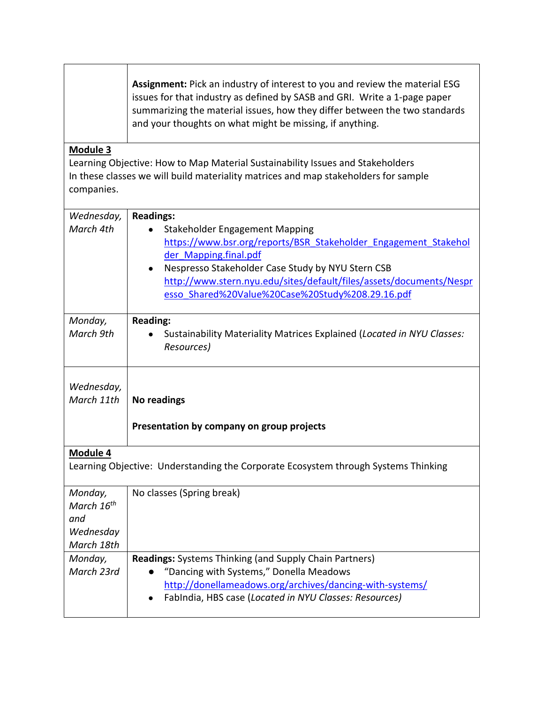|                                                                                                                                                                                                 | Assignment: Pick an industry of interest to you and review the material ESG<br>issues for that industry as defined by SASB and GRI. Write a 1-page paper<br>summarizing the material issues, how they differ between the two standards<br>and your thoughts on what might be missing, if anything.                                    |
|-------------------------------------------------------------------------------------------------------------------------------------------------------------------------------------------------|---------------------------------------------------------------------------------------------------------------------------------------------------------------------------------------------------------------------------------------------------------------------------------------------------------------------------------------|
| Module 3<br>Learning Objective: How to Map Material Sustainability Issues and Stakeholders<br>In these classes we will build materiality matrices and map stakeholders for sample<br>companies. |                                                                                                                                                                                                                                                                                                                                       |
| Wednesday,<br>March 4th                                                                                                                                                                         | <b>Readings:</b><br><b>Stakeholder Engagement Mapping</b><br>https://www.bsr.org/reports/BSR Stakeholder Engagement Stakehol<br>der Mapping.final.pdf<br>Nespresso Stakeholder Case Study by NYU Stern CSB<br>http://www.stern.nyu.edu/sites/default/files/assets/documents/Nespr<br>esso Shared%20Value%20Case%20Study%208.29.16.pdf |
| Monday,<br>March 9th                                                                                                                                                                            | <b>Reading:</b><br>Sustainability Materiality Matrices Explained (Located in NYU Classes:<br>Resources)                                                                                                                                                                                                                               |
| Wednesday,<br>March 11th                                                                                                                                                                        | No readings<br>Presentation by company on group projects                                                                                                                                                                                                                                                                              |
| Module 4                                                                                                                                                                                        |                                                                                                                                                                                                                                                                                                                                       |
| Learning Objective: Understanding the Corporate Ecosystem through Systems Thinking                                                                                                              |                                                                                                                                                                                                                                                                                                                                       |
| Monday,<br>March 16 <sup>th</sup><br>and<br>Wednesday<br>March 18th                                                                                                                             | No classes (Spring break)                                                                                                                                                                                                                                                                                                             |
| Monday,<br>March 23rd                                                                                                                                                                           | <b>Readings:</b> Systems Thinking (and Supply Chain Partners)<br>"Dancing with Systems," Donella Meadows<br>http://donellameadows.org/archives/dancing-with-systems/<br>FabIndia, HBS case (Located in NYU Classes: Resources)                                                                                                        |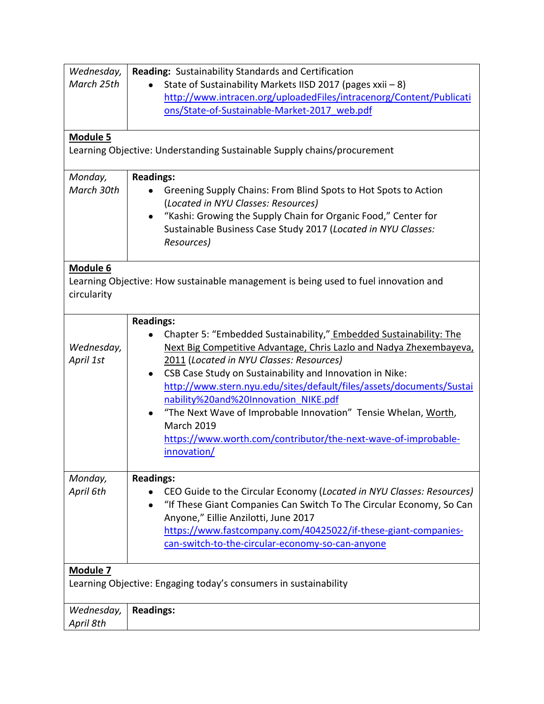| Wednesday,                                                       | Reading: Sustainability Standards and Certification                                   |
|------------------------------------------------------------------|---------------------------------------------------------------------------------------|
| March 25th                                                       | State of Sustainability Markets IISD 2017 (pages xxii - 8)                            |
|                                                                  | http://www.intracen.org/uploadedFiles/intracenorg/Content/Publicati                   |
|                                                                  | ons/State-of-Sustainable-Market-2017 web.pdf                                          |
|                                                                  |                                                                                       |
| <b>Module 5</b>                                                  |                                                                                       |
|                                                                  | Learning Objective: Understanding Sustainable Supply chains/procurement               |
| Monday,                                                          | <b>Readings:</b>                                                                      |
| March 30th                                                       | Greening Supply Chains: From Blind Spots to Hot Spots to Action                       |
|                                                                  | (Located in NYU Classes: Resources)                                                   |
|                                                                  | "Kashi: Growing the Supply Chain for Organic Food," Center for                        |
|                                                                  | Sustainable Business Case Study 2017 (Located in NYU Classes:                         |
|                                                                  | Resources)                                                                            |
|                                                                  |                                                                                       |
| Module 6                                                         |                                                                                       |
|                                                                  | Learning Objective: How sustainable management is being used to fuel innovation and   |
| circularity                                                      |                                                                                       |
|                                                                  |                                                                                       |
|                                                                  | <b>Readings:</b>                                                                      |
|                                                                  | Chapter 5: "Embedded Sustainability," Embedded Sustainability: The                    |
| Wednesday,                                                       | Next Big Competitive Advantage, Chris Lazlo and Nadya Zhexembayeva,                   |
| April 1st                                                        | 2011 (Located in NYU Classes: Resources)                                              |
|                                                                  | CSB Case Study on Sustainability and Innovation in Nike:<br>$\bullet$                 |
|                                                                  | http://www.stern.nyu.edu/sites/default/files/assets/documents/Sustai                  |
|                                                                  | nability%20and%20Innovation NIKE.pdf                                                  |
|                                                                  | • "The Next Wave of Improbable Innovation" Tensie Whelan, Worth,<br><b>March 2019</b> |
|                                                                  |                                                                                       |
|                                                                  | https://www.worth.com/contributor/the-next-wave-of-improbable-                        |
|                                                                  | innovation/                                                                           |
| Monday,                                                          | <b>Readings:</b>                                                                      |
| April 6th                                                        | CEO Guide to the Circular Economy (Located in NYU Classes: Resources)                 |
|                                                                  | "If These Giant Companies Can Switch To The Circular Economy, So Can                  |
|                                                                  | Anyone," Eillie Anzilotti, June 2017                                                  |
|                                                                  | https://www.fastcompany.com/40425022/if-these-giant-companies-                        |
|                                                                  | can-switch-to-the-circular-economy-so-can-anyone                                      |
|                                                                  |                                                                                       |
| Module 7                                                         |                                                                                       |
| Learning Objective: Engaging today's consumers in sustainability |                                                                                       |
|                                                                  |                                                                                       |
| Wednesday,                                                       | <b>Readings:</b>                                                                      |
| April 8th                                                        |                                                                                       |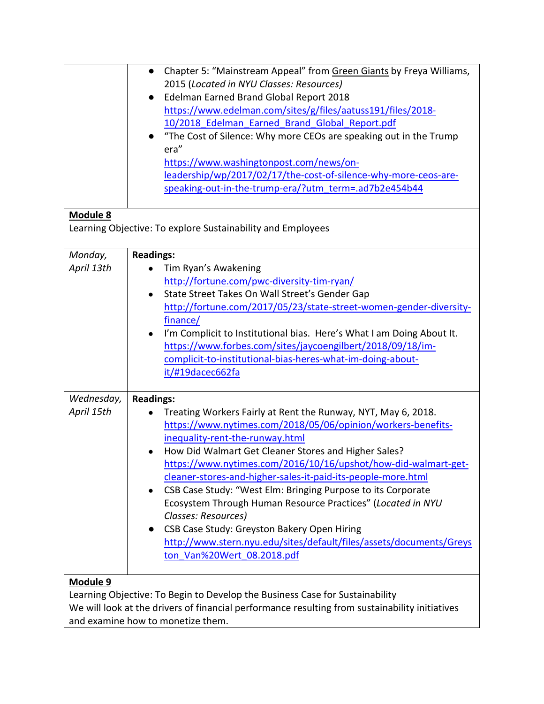|                 | Chapter 5: "Mainstream Appeal" from Green Giants by Freya Williams,<br>$\bullet$               |
|-----------------|------------------------------------------------------------------------------------------------|
|                 | 2015 (Located in NYU Classes: Resources)                                                       |
|                 | Edelman Earned Brand Global Report 2018<br>$\bullet$                                           |
|                 | https://www.edelman.com/sites/g/files/aatuss191/files/2018-                                    |
|                 | 10/2018 Edelman Earned Brand Global Report.pdf                                                 |
|                 | "The Cost of Silence: Why more CEOs are speaking out in the Trump<br>$\bullet$                 |
|                 | era"                                                                                           |
|                 | https://www.washingtonpost.com/news/on-                                                        |
|                 | leadership/wp/2017/02/17/the-cost-of-silence-why-more-ceos-are-                                |
|                 | speaking-out-in-the-trump-era/?utm_term=.ad7b2e454b44                                          |
| <b>Module 8</b> |                                                                                                |
|                 | Learning Objective: To explore Sustainability and Employees                                    |
| Monday,         | <b>Readings:</b>                                                                               |
| April 13th      | Tim Ryan's Awakening                                                                           |
|                 | http://fortune.com/pwc-diversity-tim-ryan/                                                     |
|                 | State Street Takes On Wall Street's Gender Gap<br>$\bullet$                                    |
|                 |                                                                                                |
|                 | http://fortune.com/2017/05/23/state-street-women-gender-diversity-                             |
|                 | finance/                                                                                       |
|                 | I'm Complicit to Institutional bias. Here's What I am Doing About It.                          |
|                 | https://www.forbes.com/sites/jaycoengilbert/2018/09/18/im-                                     |
|                 | complicit-to-institutional-bias-heres-what-im-doing-about-                                     |
|                 | it/#19dacec662fa                                                                               |
| Wednesday,      | <b>Readings:</b>                                                                               |
| April 15th      | Treating Workers Fairly at Rent the Runway, NYT, May 6, 2018.                                  |
|                 | https://www.nytimes.com/2018/05/06/opinion/workers-benefits-                                   |
|                 | inequality-rent-the-runway.html                                                                |
|                 | How Did Walmart Get Cleaner Stores and Higher Sales?                                           |
|                 | https://www.nytimes.com/2016/10/16/upshot/how-did-walmart-get-                                 |
|                 | cleaner-stores-and-higher-sales-it-paid-its-people-more.html                                   |
|                 | CSB Case Study: "West Elm: Bringing Purpose to its Corporate                                   |
|                 | Ecosystem Through Human Resource Practices" (Located in NYU                                    |
|                 | Classes: Resources)                                                                            |
|                 | CSB Case Study: Greyston Bakery Open Hiring<br>$\bullet$                                       |
|                 | http://www.stern.nyu.edu/sites/default/files/assets/documents/Greys                            |
|                 | ton Van%20Wert 08.2018.pdf                                                                     |
|                 |                                                                                                |
| <b>Module 9</b> |                                                                                                |
|                 | Learning Objective: To Begin to Develop the Business Case for Sustainability                   |
|                 | We will look at the drivers of financial performance resulting from sustainability initiatives |

and examine how to monetize them.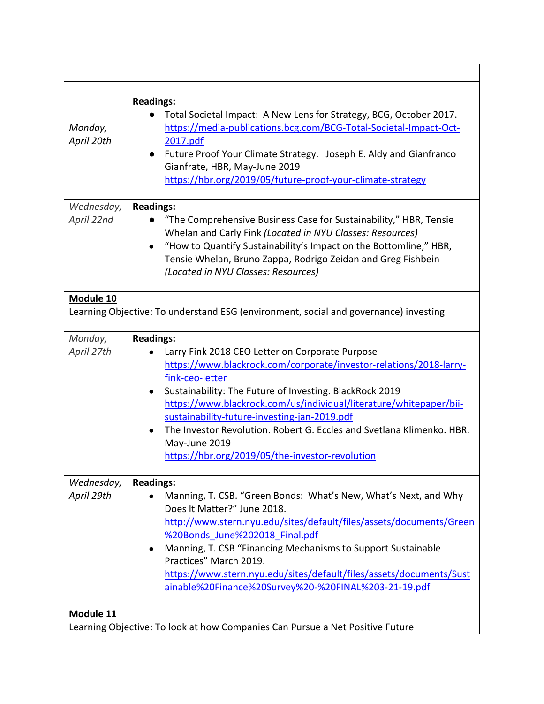| Monday,<br>April 20th    | <b>Readings:</b><br>Total Societal Impact: A New Lens for Strategy, BCG, October 2017.<br>https://media-publications.bcg.com/BCG-Total-Societal-Impact-Oct-<br>2017.pdf<br>Future Proof Your Climate Strategy. Joseph E. Aldy and Gianfranco<br>$\bullet$<br>Gianfrate, HBR, May-June 2019<br>https://hbr.org/2019/05/future-proof-your-climate-strategy                                                                                                                                                |
|--------------------------|---------------------------------------------------------------------------------------------------------------------------------------------------------------------------------------------------------------------------------------------------------------------------------------------------------------------------------------------------------------------------------------------------------------------------------------------------------------------------------------------------------|
| Wednesday,<br>April 22nd | <b>Readings:</b><br>"The Comprehensive Business Case for Sustainability," HBR, Tensie<br>Whelan and Carly Fink (Located in NYU Classes: Resources)<br>"How to Quantify Sustainability's Impact on the Bottomline," HBR,<br>Tensie Whelan, Bruno Zappa, Rodrigo Zeidan and Greg Fishbein<br>(Located in NYU Classes: Resources)                                                                                                                                                                          |
| Module 10                |                                                                                                                                                                                                                                                                                                                                                                                                                                                                                                         |
|                          | Learning Objective: To understand ESG (environment, social and governance) investing                                                                                                                                                                                                                                                                                                                                                                                                                    |
| Monday,<br>April 27th    | <b>Readings:</b><br>Larry Fink 2018 CEO Letter on Corporate Purpose<br>https://www.blackrock.com/corporate/investor-relations/2018-larry-<br>fink-ceo-letter<br>Sustainability: The Future of Investing. BlackRock 2019<br>$\bullet$<br>https://www.blackrock.com/us/individual/literature/whitepaper/bii-<br>sustainability-future-investing-jan-2019.pdf<br>The Investor Revolution. Robert G. Eccles and Svetlana Klimenko. HBR.<br>May-June 2019<br>https://hbr.org/2019/05/the-investor-revolution |
| Wednesday,<br>April 29th | <b>Readings:</b><br>Manning, T. CSB. "Green Bonds: What's New, What's Next, and Why<br>Does It Matter?" June 2018.<br>http://www.stern.nyu.edu/sites/default/files/assets/documents/Green<br>%20Bonds June%202018 Final.pdf<br>Manning, T. CSB "Financing Mechanisms to Support Sustainable<br>Practices" March 2019.<br>https://www.stern.nyu.edu/sites/default/files/assets/documents/Sust<br>ainable%20Finance%20Survey%20-%20FINAL%203-21-19.pdf                                                    |
| Module 11                | Learning Objective: To look at how Companies Can Pursue a Net Positive Future                                                                                                                                                                                                                                                                                                                                                                                                                           |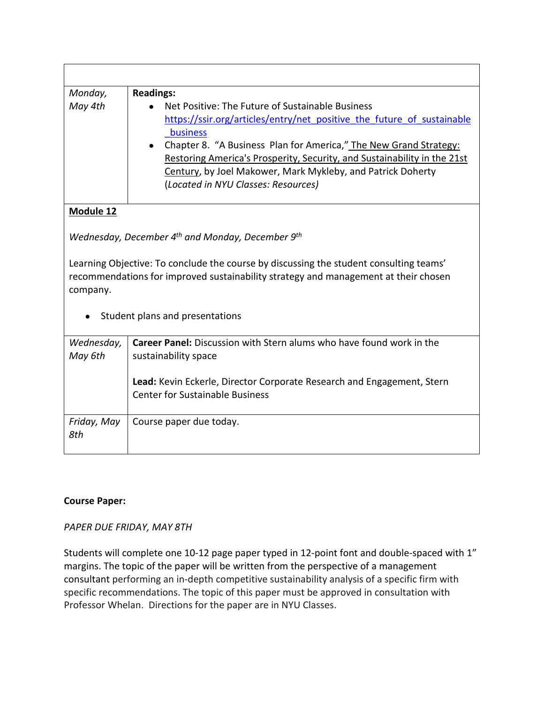| Monday,                                                                                                                                                                                   | <b>Readings:</b>                                                         |
|-------------------------------------------------------------------------------------------------------------------------------------------------------------------------------------------|--------------------------------------------------------------------------|
| May 4th                                                                                                                                                                                   | Net Positive: The Future of Sustainable Business                         |
|                                                                                                                                                                                           | https://ssir.org/articles/entry/net positive the future of sustainable   |
|                                                                                                                                                                                           | business                                                                 |
|                                                                                                                                                                                           | Chapter 8. "A Business Plan for America," The New Grand Strategy:        |
|                                                                                                                                                                                           | Restoring America's Prosperity, Security, and Sustainability in the 21st |
|                                                                                                                                                                                           | Century, by Joel Makower, Mark Mykleby, and Patrick Doherty              |
|                                                                                                                                                                                           | (Located in NYU Classes: Resources)                                      |
| <b>Module 12</b>                                                                                                                                                                          |                                                                          |
| Wednesday, December 4 <sup>th</sup> and Monday, December 9 <sup>th</sup>                                                                                                                  |                                                                          |
| Learning Objective: To conclude the course by discussing the student consulting teams'<br>recommendations for improved sustainability strategy and management at their chosen<br>company. |                                                                          |
|                                                                                                                                                                                           | Student plans and presentations                                          |
| Wednesday,                                                                                                                                                                                | Career Panel: Discussion with Stern alums who have found work in the     |
| May 6th                                                                                                                                                                                   | sustainability space                                                     |
|                                                                                                                                                                                           | Lead: Kevin Eckerle, Director Corporate Research and Engagement, Stern   |
|                                                                                                                                                                                           | <b>Center for Sustainable Business</b>                                   |
| Friday, May<br>8th                                                                                                                                                                        | Course paper due today.                                                  |

## **Course Paper:**

## *PAPER DUE FRIDAY, MAY 8TH*

Students will complete one 10-12 page paper typed in 12-point font and double-spaced with 1" margins. The topic of the paper will be written from the perspective of a management consultant performing an in-depth competitive sustainability analysis of a specific firm with specific recommendations. The topic of this paper must be approved in consultation with Professor Whelan. Directions for the paper are in NYU Classes.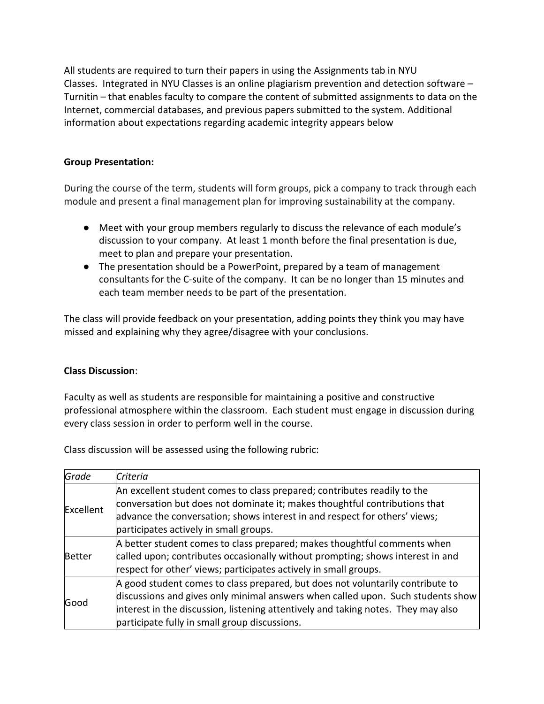All students are required to turn their papers in using the Assignments tab in NYU Classes. Integrated in NYU Classes is an online plagiarism prevention and detection software – Turnitin – that enables faculty to compare the content of submitted assignments to data on the Internet, commercial databases, and previous papers submitted to the system. Additional information about expectations regarding academic integrity appears below

## **Group Presentation:**

During the course of the term, students will form groups, pick a company to track through each module and present a final management plan for improving sustainability at the company.

- Meet with your group members regularly to discuss the relevance of each module's discussion to your company. At least 1 month before the final presentation is due, meet to plan and prepare your presentation.
- The presentation should be a PowerPoint, prepared by a team of management consultants for the C-suite of the company. It can be no longer than 15 minutes and each team member needs to be part of the presentation.

The class will provide feedback on your presentation, adding points they think you may have missed and explaining why they agree/disagree with your conclusions.

## **Class Discussion**:

Faculty as well as students are responsible for maintaining a positive and constructive professional atmosphere within the classroom. Each student must engage in discussion during every class session in order to perform well in the course.

Class discussion will be assessed using the following rubric:

| Grade     | Criteria                                                                          |
|-----------|-----------------------------------------------------------------------------------|
| Excellent | An excellent student comes to class prepared; contributes readily to the          |
|           | conversation but does not dominate it; makes thoughtful contributions that        |
|           | advance the conversation; shows interest in and respect for others' views;        |
|           | participates actively in small groups.                                            |
| Better    | A better student comes to class prepared; makes thoughtful comments when          |
|           | called upon; contributes occasionally without prompting; shows interest in and    |
|           | respect for other' views; participates actively in small groups.                  |
| Good      | A good student comes to class prepared, but does not voluntarily contribute to    |
|           | discussions and gives only minimal answers when called upon. Such students show   |
|           | interest in the discussion, listening attentively and taking notes. They may also |
|           | participate fully in small group discussions.                                     |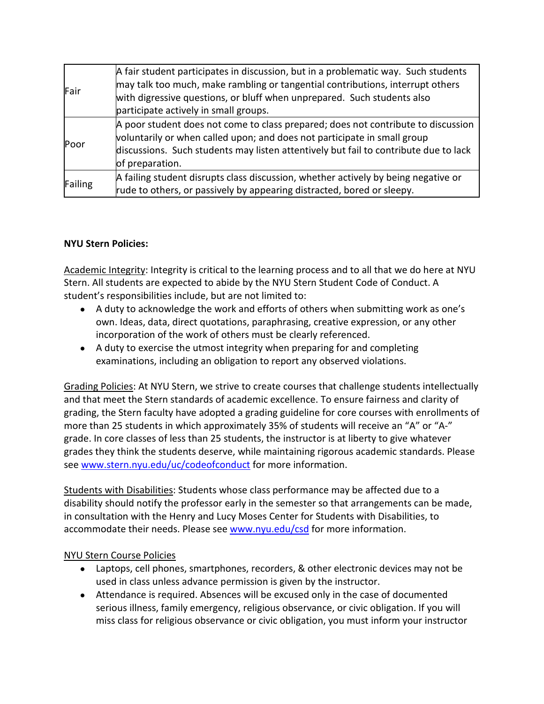| Fair    | A fair student participates in discussion, but in a problematic way. Such students<br>may talk too much, make rambling or tangential contributions, interrupt others<br>with digressive questions, or bluff when unprepared. Such students also<br>participate actively in small groups. |
|---------|------------------------------------------------------------------------------------------------------------------------------------------------------------------------------------------------------------------------------------------------------------------------------------------|
| Poor    | A poor student does not come to class prepared; does not contribute to discussion<br>voluntarily or when called upon; and does not participate in small group<br>discussions. Such students may listen attentively but fail to contribute due to lack<br>of preparation.                 |
| Failing | A failing student disrupts class discussion, whether actively by being negative or<br>rude to others, or passively by appearing distracted, bored or sleepy.                                                                                                                             |

## **NYU Stern Policies:**

Academic Integrity: Integrity is critical to the learning process and to all that we do here at NYU Stern. All students are expected to abide by the NYU Stern Student Code of Conduct. A student's responsibilities include, but are not limited to:

- A duty to acknowledge the work and efforts of others when submitting work as one's own. Ideas, data, direct quotations, paraphrasing, creative expression, or any other incorporation of the work of others must be clearly referenced.
- A duty to exercise the utmost integrity when preparing for and completing examinations, including an obligation to report any observed violations.

Grading Policies: At NYU Stern, we strive to create courses that challenge students intellectually and that meet the Stern standards of academic excellence. To ensure fairness and clarity of grading, the Stern faculty have adopted a grading guideline for core courses with enrollments of more than 25 students in which approximately 35% of students will receive an "A" or "A-" grade. In core classes of less than 25 students, the instructor is at liberty to give whatever grades they think the students deserve, while maintaining rigorous academic standards. Please see [www.stern.nyu.edu/uc/codeofconduct](http://www.stern.nyu.edu/uc/codeofconduct) for more information.

Students with Disabilities: Students whose class performance may be affected due to a disability should notify the professor early in the semester so that arrangements can be made, in consultation with the Henry and Lucy Moses Center for Students with Disabilities, to accommodate their needs. Please see [www.nyu.edu/csd](http://www.nyu.edu/csd) for more information.

## NYU Stern Course Policies

- Laptops, cell phones, smartphones, recorders, & other electronic devices may not be used in class unless advance permission is given by the instructor.
- Attendance is required. Absences will be excused only in the case of documented serious illness, family emergency, religious observance, or civic obligation. If you will miss class for religious observance or civic obligation, you must inform your instructor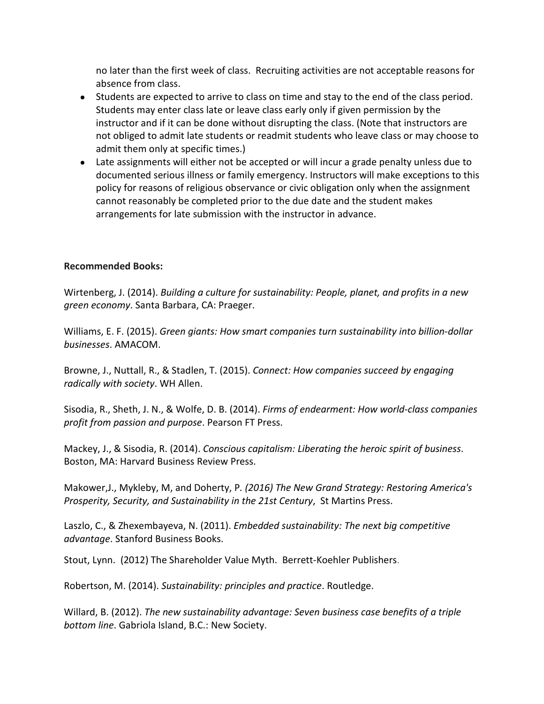no later than the first week of class. Recruiting activities are not acceptable reasons for absence from class.

- Students are expected to arrive to class on time and stay to the end of the class period. Students may enter class late or leave class early only if given permission by the instructor and if it can be done without disrupting the class. (Note that instructors are not obliged to admit late students or readmit students who leave class or may choose to admit them only at specific times.)
- Late assignments will either not be accepted or will incur a grade penalty unless due to documented serious illness or family emergency. Instructors will make exceptions to this policy for reasons of religious observance or civic obligation only when the assignment cannot reasonably be completed prior to the due date and the student makes arrangements for late submission with the instructor in advance.

### **Recommended Books:**

Wirtenberg, J. (2014). *Building a culture for sustainability: People, planet, and profits in a new green economy*. Santa Barbara, CA: Praeger.

Williams, E. F. (2015). *Green giants: How smart companies turn sustainability into billion-dollar businesses*. AMACOM.

Browne, J., Nuttall, R., & Stadlen, T. (2015). *Connect: How companies succeed by engaging radically with society*. WH Allen.

Sisodia, R., Sheth, J. N., & Wolfe, D. B. (2014). *Firms of endearment: How world-class companies profit from passion and purpose*. Pearson FT Press.

Mackey, J., & Sisodia, R. (2014). *Conscious capitalism: Liberating the heroic spirit of business*. Boston, MA: Harvard Business Review Press.

Makower,J., Mykleby, M, and Doherty, P*. (2016) The New Grand Strategy: Restoring America's Prosperity, Security, and Sustainability in the 21st Century*, St Martins Press.

Laszlo, C., & Zhexembayeva, N. (2011). *Embedded sustainability: The next big competitive advantage*. Stanford Business Books.

Stout, Lynn. (2012) The Shareholder Value Myth. Berrett-Koehler Publishers.

Robertson, M. (2014). *Sustainability: principles and practice*. Routledge.

Willard, B. (2012). *The new sustainability advantage: Seven business case benefits of a triple bottom line*. Gabriola Island, B.C.: New Society.